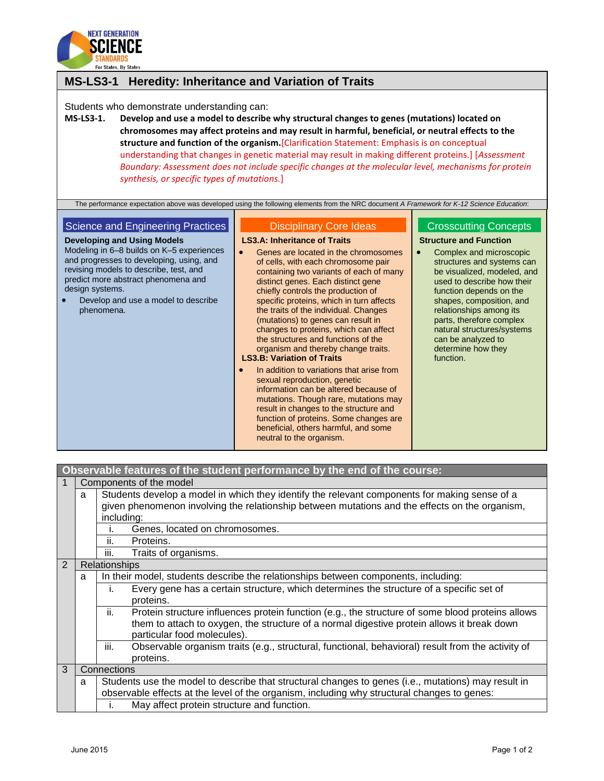

## **MS-LS3-1 Heredity: Inheritance and Variation of Traits**

Students who demonstrate understanding can:

**MS-LS3-1. Develop and use a model to describe why structural changes to genes (mutations) located on chromosomes may affect proteins and may result in harmful, beneficial, or neutral effects to the structure and function of the organism.**[Clarification Statement: Emphasis is on conceptual understanding that changes in genetic material may result in making different proteins.] [*Assessment Boundary: Assessment does not include specific changes at the molecular level, mechanisms for protein synthesis, or specific types of mutations.*]

The performance expectation above was developed using the following elements from the NRC document *A Framework for K-12 Science Education*:

## Science and Engineering Practices

**Developing and Using Models** Modeling in 6–8 builds on K–5 experiences and progresses to developing, using, and revising models to describe, test, and predict more abstract phenomena and design systems.

 Develop and use a model to describe phenomena.

## Disciplinary Core Ideas

**LS3.A: Inheritance of Traits**

- **•** Genes are located in the chromosomes of cells, with each chromosome pair containing two variants of each of many distinct genes. Each distinct gene chiefly controls the production of specific proteins, which in turn affects the traits of the individual. Changes (mutations) to genes can result in changes to proteins, which can affect the structures and functions of the organism and thereby change traits. **LS3.B: Variation of Traits**
- In addition to variations that arise from sexual reproduction, genetic information can be altered because of mutations. Though rare, mutations may result in changes to the structure and function of proteins. Some changes are beneficial, others harmful, and some neutral to the organism.

## Crosscutting Concepts

**Structure and Function**

• Complex and microscopic structures and systems can be visualized, modeled, and used to describe how their function depends on the shapes, composition, and relationships among its parts, therefore complex natural structures/systems can be analyzed to determine how they function.

| Observable features of the student performance by the end of the course: |                         |                                                                                                                                                                                                                                      |  |  |
|--------------------------------------------------------------------------|-------------------------|--------------------------------------------------------------------------------------------------------------------------------------------------------------------------------------------------------------------------------------|--|--|
|                                                                          | Components of the model |                                                                                                                                                                                                                                      |  |  |
|                                                                          | a                       | Students develop a model in which they identify the relevant components for making sense of a<br>given phenomenon involving the relationship between mutations and the effects on the organism,                                      |  |  |
|                                                                          |                         | including:                                                                                                                                                                                                                           |  |  |
|                                                                          |                         | Genes, located on chromosomes.                                                                                                                                                                                                       |  |  |
|                                                                          |                         | ii.<br>Proteins.                                                                                                                                                                                                                     |  |  |
|                                                                          |                         | iii.<br>Traits of organisms.                                                                                                                                                                                                         |  |  |
| 2                                                                        |                         | Relationships                                                                                                                                                                                                                        |  |  |
|                                                                          | a                       | In their model, students describe the relationships between components, including:                                                                                                                                                   |  |  |
|                                                                          |                         | Every gene has a certain structure, which determines the structure of a specific set of<br>İ.<br>proteins.                                                                                                                           |  |  |
|                                                                          |                         | ii.<br>Protein structure influences protein function (e.g., the structure of some blood proteins allows<br>them to attach to oxygen, the structure of a normal digestive protein allows it break down<br>particular food molecules). |  |  |
|                                                                          |                         | iii.<br>Observable organism traits (e.g., structural, functional, behavioral) result from the activity of<br>proteins.                                                                                                               |  |  |
| 3                                                                        |                         | Connections                                                                                                                                                                                                                          |  |  |
|                                                                          | a                       | Students use the model to describe that structural changes to genes (i.e., mutations) may result in                                                                                                                                  |  |  |
|                                                                          |                         | observable effects at the level of the organism, including why structural changes to genes:                                                                                                                                          |  |  |
|                                                                          |                         | May affect protein structure and function.<br>I.                                                                                                                                                                                     |  |  |
|                                                                          |                         |                                                                                                                                                                                                                                      |  |  |